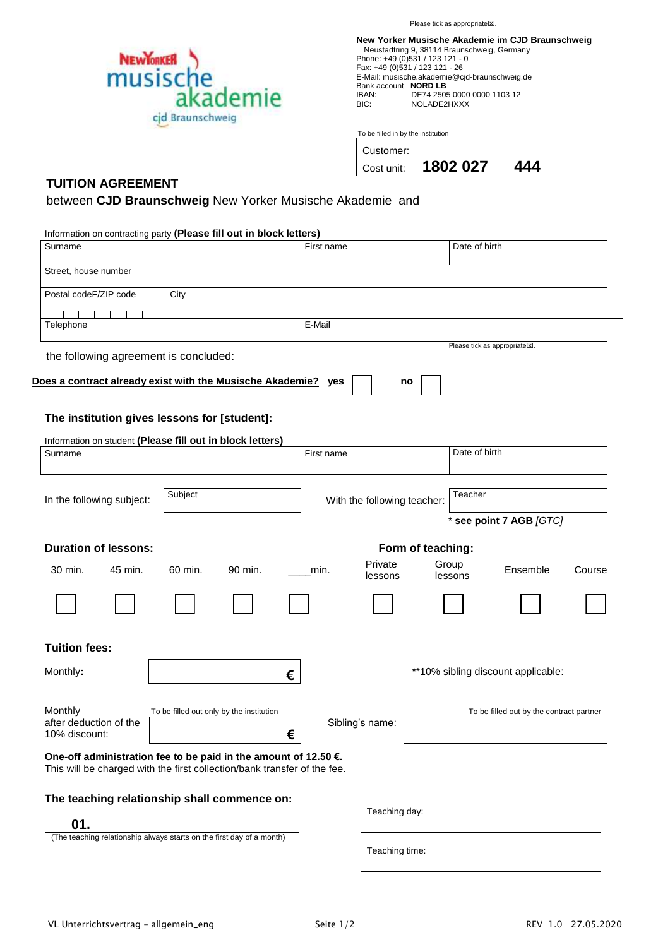

Please tick as appropriate $\boxtimes$ .

**New Yorker Musische Akademie im CJD Braunschweig**  Neustadtring 9, 38114 Braunschweig, Germany Phone: +49 (0)531 / 123 121 - 0 Fax: +49 (0)531 / 123 121 - 26 E-Mail[: musische.akademie@cjd-braunschweig.de](about:blank) Bank account **NORD LB** IBAN: DE74 2505 0000 0000 1103 12<br>BIC: NOLADE2HXXX NOLADE2HXXX

To be filled in by the institution

| Customer:  |          |     |
|------------|----------|-----|
| Cost unit: | 1802 027 | 444 |

## **TUITION AGREEMENT**

between **CJD Braunschweig** New Yorker Musische Akademie and

## Information on contracting party **(Please fill out in block letters)**

| Surname                                                                                                                                     | First name           |                                        | Date of birth                               |        |
|---------------------------------------------------------------------------------------------------------------------------------------------|----------------------|----------------------------------------|---------------------------------------------|--------|
| Street, house number                                                                                                                        |                      |                                        |                                             |        |
| Postal codeF/ZIP code<br>City                                                                                                               |                      |                                        |                                             |        |
|                                                                                                                                             |                      |                                        |                                             |        |
| Telephone                                                                                                                                   | E-Mail               |                                        |                                             |        |
| the following agreement is concluded:                                                                                                       |                      |                                        | Please tick as appropriate <sup>[X]</sup> . |        |
| Does a contract already exist with the Musische Akademie? yes                                                                               |                      | no                                     |                                             |        |
|                                                                                                                                             |                      |                                        |                                             |        |
| The institution gives lessons for [student]:                                                                                                |                      |                                        |                                             |        |
| Information on student (Please fill out in block letters)                                                                                   |                      |                                        |                                             |        |
| Surname                                                                                                                                     | First name           |                                        | Date of birth                               |        |
|                                                                                                                                             |                      |                                        |                                             |        |
| Subject<br>In the following subject:                                                                                                        |                      | With the following teacher:            | Teacher                                     |        |
|                                                                                                                                             |                      |                                        | * see point 7 AGB [GTC]                     |        |
| <b>Duration of lessons:</b>                                                                                                                 |                      | Form of teaching:                      |                                             |        |
| 30 min.<br>45 min.<br>60 min.<br>90 min.                                                                                                    | min.                 | Private<br>Group<br>lessons<br>lessons | Ensemble                                    | Course |
|                                                                                                                                             |                      |                                        |                                             |        |
| <b>Tuition fees:</b>                                                                                                                        |                      |                                        |                                             |        |
| Monthly:                                                                                                                                    | €                    |                                        | **10% sibling discount applicable:          |        |
| Monthly<br>To be filled out only by the institution                                                                                         |                      |                                        | To be filled out by the contract partner    |        |
| after deduction of the<br>10% discount:                                                                                                     | Sibling's name:<br>€ |                                        |                                             |        |
| One-off administration fee to be paid in the amount of 12.50 €.<br>This will be charged with the first collection/bank transfer of the fee. |                      |                                        |                                             |        |
| The teaching relationship shall commence on:                                                                                                |                      |                                        |                                             |        |
| 01.                                                                                                                                         |                      | Teaching day:                          |                                             |        |
| (The teaching relationship always starts on the first day of a month)                                                                       |                      |                                        |                                             |        |

Teaching time: